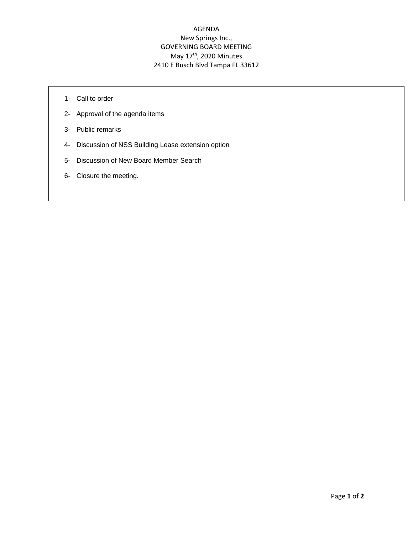## AGENDA New Springs Inc., GOVERNING BOARD MEETING May 17<sup>th</sup>, 2020 Minutes 2410 E Busch Blvd Tampa FL 33612

- 1- Call to order
- 2- Approval of the agenda items
- 3- Public remarks
- 4- Discussion of NSS Building Lease extension option
- 5- Discussion of New Board Member Search
- 6- Closure the meeting.